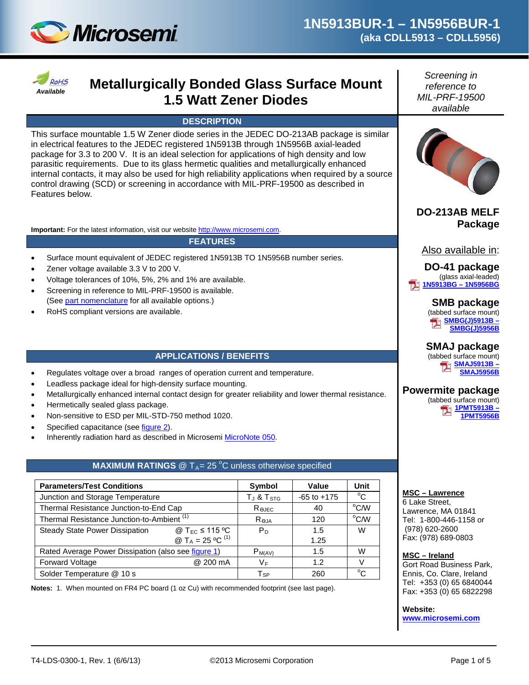



# *Available* **Metallurgically Bonded Glass Surface Mount 1.5 Watt Zener Diodes**

#### **DESCRIPTION**

This surface mountable 1.5 W Zener diode series in the JEDEC DO-213AB package is similar in electrical features to the JEDEC registered 1N5913B through 1N5956B axial-leaded package for 3.3 to 200 V. It is an ideal selection for applications of high density and low parasitic requirements. Due to its glass hermetic qualities and metallurgically enhanced internal contacts, it may also be used for high reliability applications when required by a source control drawing (SCD) or screening in accordance with MIL-PRF-19500 as described in Features below.

**Important:** For the latest information, visit our website [http://www.microsemi.com.](http://www.microsemi.com/)

#### **FEATURES**

- Surface mount equivalent of JEDEC registered 1N5913B TO 1N5956B number series.
- Zener voltage available 3.3 V to 200 V.
- Voltage tolerances of 10%, 5%, 2% and 1% are available.
- Screening in reference to MIL-PRF-19500 is available. (Se[e part nomenclature](#page-1-0) for all available options.)
- RoHS compliant versions are available.

#### **APPLICATIONS / BENEFITS**

- Regulates voltage over a broad ranges of operation current and temperature.
- Leadless package ideal for high-density surface mounting.
- Metallurgically enhanced internal contact design for greater reliability and lower thermal resistance.
- Hermetically sealed glass package.
- Non-sensitive to ESD per MIL-STD-750 method 1020.
- Specified capacitance (see *figure 2*).
- Inherently radiation hard as described in Microsemi [MicroNote 050.](http://www.microsemi.com/en/sites/default/files/micnotes/050.pdf)

### **MAXIMUM RATINGS**  $@T_A = 25 °C$  unless otherwise specified

| <b>Parameters/Test Conditions</b>                     | Symbol                                  | Value           | <b>Unit</b>    |             |
|-------------------------------------------------------|-----------------------------------------|-----------------|----------------|-------------|
| Junction and Storage Temperature                      | $T_J$ & $T_{STG}$                       | $-65$ to $+175$ | $^{\circ}C$    |             |
| Thermal Resistance Junction-to-End Cap                | $\mathsf{R}_{\Theta\mathsf{JEC}}$       | 40              | $^{\circ}$ CM  |             |
| Thermal Resistance Junction-to-Ambient <sup>(1)</sup> | Reja                                    | 120             | $^{\circ}$ C/W |             |
| <b>Steady State Power Dissipation</b>                 | @ $T_{EC} \le 115 \degree C$            | P <sub>D</sub>  | 1.5            | W           |
|                                                       | @ T <sub>A</sub> = 25 °C <sup>(1)</sup> |                 | 1.25           |             |
| Rated Average Power Dissipation (also see figure 1)   | $P_{M(AV)}$                             | 1.5             | W              |             |
| Forward Voltage                                       | @ 200 mA                                | V⊧              | 1.2            | V           |
| Solder Temperature @ 10 s                             |                                         | Tsp             | 260            | $^{\circ}C$ |

**Notes:** 1. When mounted on FR4 PC board (1 oz Cu) with recommended footprint (see last page).

*Screening in reference to MIL-PRF-19500 available*



**DO-213AB MELF Package**

Also available in:

**DO-41 package** (glass axial-leaded) **[1N5913BG –](http://www.microsemi.com/existing-parts/parts/662) 1N5956BG**

> **SMB package** (tabbed surface mount) **[SMBG\(J\)5913B](http://www.microsemi.com/existing-parts/parts/125707) – [SMBG\(J\)5956B](http://www.microsemi.com/existing-parts/parts/125707)**

> **SMAJ package**

#### (tabbed surface mount) **[SMAJ5913B](http://www.microsemi.com/existing-parts/parts/12378) – [SMAJ5956B](http://www.microsemi.com/existing-parts/parts/12378)**

#### **Powermite package**

(tabbed surface mount) **[1PMT5913B](http://www.microsemi.com/existing-parts/parts/40397) – [1PMT5956B](http://www.microsemi.com/existing-parts/parts/40397)**

**MSC – Lawrence**

6 Lake Street, Lawrence, MA 01841 Tel: 1-800-446-1158 or (978) 620-2600 Fax: (978) 689-0803

#### **MSC – Ireland**

Gort Road Business Park, Ennis, Co. Clare, Ireland Tel: +353 (0) 65 6840044 Fax: +353 (0) 65 6822298

**Website:** 

**[www.microsemi.com](http://www.microsemi.com/)**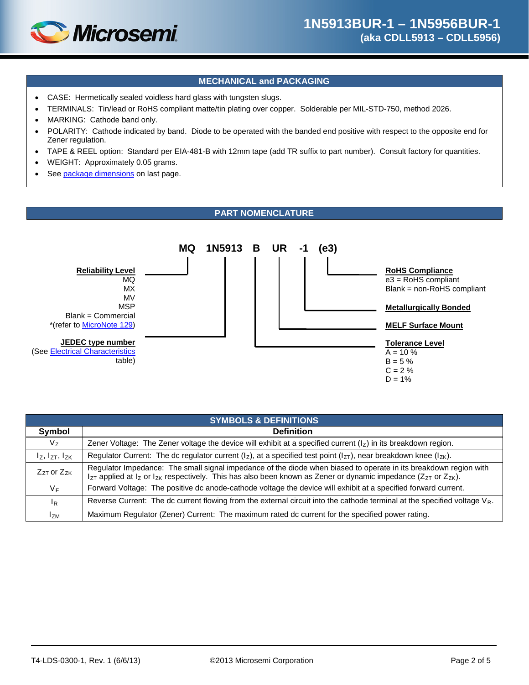

#### **MECHANICAL and PACKAGING**

- CASE: Hermetically sealed voidless hard glass with tungsten slugs.
- TERMINALS: Tin/lead or RoHS compliant matte/tin plating over copper. Solderable per MIL-STD-750, method 2026.
- MARKING: Cathode band only.
- POLARITY: Cathode indicated by band. Diode to be operated with the banded end positive with respect to the opposite end for Zener regulation.
- TAPE & REEL option: Standard per EIA-481-B with 12mm tape (add TR suffix to part number). Consult factory for quantities.
- WEIGHT: Approximately 0.05 grams.
- See [package dimensions](#page-4-0) on last page.

#### **PART NOMENCLATURE**

<span id="page-1-0"></span>

| <b>SYMBOLS &amp; DEFINITIONS</b> |                                                                                                                                                                                                                                                                       |  |  |
|----------------------------------|-----------------------------------------------------------------------------------------------------------------------------------------------------------------------------------------------------------------------------------------------------------------------|--|--|
| Symbol                           | <b>Definition</b>                                                                                                                                                                                                                                                     |  |  |
| $V_{Z}$                          | Zener Voltage: The Zener voltage the device will exhibit at a specified current $(lz)$ in its breakdown region.                                                                                                                                                       |  |  |
| $I_Z$ , $I_{ZT}$ , $I_{ZK}$      | Regulator Current: The dc regulator current ( $I_z$ ), at a specified test point ( $I_{ZT}$ ), near breakdown knee ( $I_{ZK}$ ).                                                                                                                                      |  |  |
| $Z_{ZT}$ or $Z_{ZK}$             | Regulator Impedance: The small signal impedance of the diode when biased to operate in its breakdown region with<br>$I_{ZT}$ applied at $I_Z$ or $I_{ZK}$ respectively. This has also been known as Zener or dynamic impedance (Z <sub>ZT</sub> or Z <sub>ZK</sub> ). |  |  |
| $V_F$                            | Forward Voltage: The positive dc anode-cathode voltage the device will exhibit at a specified forward current.                                                                                                                                                        |  |  |
| $\mathsf{I}_{\mathsf{R}}$        | Reverse Current: The dc current flowing from the external circuit into the cathode terminal at the specified voltage $V_R$ .                                                                                                                                          |  |  |
| $I_{ZM}$                         | Maximum Regulator (Zener) Current: The maximum rated dc current for the specified power rating.                                                                                                                                                                       |  |  |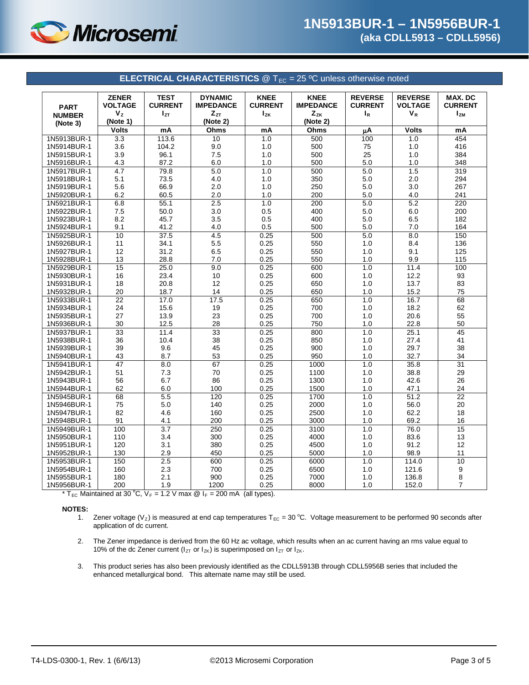

<span id="page-2-0"></span>

| <b>ELECTRICAL CHARACTERISTICS</b> $\textcircled{2}$ T <sub>EC</sub> = 25 °C unless otherwise noted |                                                           |                                           |                                                |                                           |                                             |                                           |                                           |                                       |
|----------------------------------------------------------------------------------------------------|-----------------------------------------------------------|-------------------------------------------|------------------------------------------------|-------------------------------------------|---------------------------------------------|-------------------------------------------|-------------------------------------------|---------------------------------------|
| <b>PART</b>                                                                                        | <b>ZENER</b><br><b>VOLTAGE</b><br>$\mathbf{V}_\mathbf{Z}$ | <b>TEST</b><br><b>CURRENT</b><br>$I_{ZT}$ | <b>DYNAMIC</b><br><b>IMPEDANCE</b><br>$Z_{ZT}$ | <b>KNEE</b><br><b>CURRENT</b><br>$I_{ZK}$ | <b>KNEE</b><br><b>IMPEDANCE</b><br>$Z_{ZK}$ | <b>REVERSE</b><br><b>CURRENT</b><br>$I_R$ | <b>REVERSE</b><br><b>VOLTAGE</b><br>$V_R$ | MAX. DC<br><b>CURRENT</b><br>$I_{ZM}$ |
| <b>NUMBER</b>                                                                                      | (Note 1)                                                  |                                           | (Note 2)                                       |                                           | (Note 2)                                    |                                           |                                           |                                       |
| (Note 3)                                                                                           | <b>Volts</b>                                              | mA                                        | Ohms                                           | mA                                        | Ohms                                        | μA                                        | <b>Volts</b>                              | mA                                    |
| 1N5913BUR-1                                                                                        | 3.3                                                       | 113.6                                     | 10                                             | 1.0                                       | 500                                         | 100                                       | 1.0                                       | 454                                   |
| 1N5914BUR-1                                                                                        | 3.6                                                       | 104.2                                     | 9.0                                            | 1.0                                       | 500                                         | 75                                        | 1.0                                       | 416                                   |
| 1N5915BUR-1                                                                                        | 3.9                                                       | 96.1                                      | 7.5                                            | 1.0                                       | 500                                         | 25                                        | 1.0                                       | 384                                   |
| 1N5916BUR-1                                                                                        | 4.3                                                       | 87.2                                      | 6.0                                            | 1.0                                       | 500                                         | 5.0                                       | 1.0                                       | 348                                   |
| 1N5917BUR-1                                                                                        | 4.7                                                       | 79.8                                      | 5.0                                            | 1.0                                       | 500                                         | 5.0                                       | 1.5                                       | 319                                   |
| 1N5918BUR-1                                                                                        | 5.1                                                       | 73.5                                      | 4.0                                            | 1.0                                       | 350                                         | 5.0                                       | 2.0                                       | 294                                   |
| 1N5919BUR-1                                                                                        | 5.6                                                       | 66.9                                      | 2.0                                            | $1.0$                                     | 250                                         | 5.0                                       | 3.0                                       | 267                                   |
| 1N5920BUR-1                                                                                        | 6.2                                                       | 60.5                                      | 2.0                                            | 1.0                                       | 200                                         | $5.0\,$                                   | 4.0                                       | 241                                   |
| 1N5921BUR-1                                                                                        | 6.8                                                       | 55.1                                      | 2.5                                            | 1.0                                       | 200                                         | 5.0                                       | 5.2                                       | 220                                   |
| 1N5922BUR-1                                                                                        | $7.5\,$                                                   | 50.0                                      | 3.0                                            | 0.5                                       | 400                                         | 5.0                                       | 6.0                                       | 200                                   |
| 1N5923BUR-1                                                                                        | 8.2                                                       | 45.7                                      | 3.5                                            | 0.5                                       | 400                                         | 5.0                                       | 6.5                                       | 182                                   |
| 1N5924BUR-1                                                                                        | 9.1                                                       | 41.2                                      | 4.0                                            | 0.5                                       | 500                                         | 5.0                                       | 7.0                                       | 164                                   |
| 1N5925BUR-1                                                                                        | 10                                                        | 37.5                                      | 4.5                                            | 0.25                                      | 500                                         | 5.0                                       | 8.0                                       | 150                                   |
| 1N5926BUR-1                                                                                        | 11                                                        | 34.1                                      | 5.5                                            | 0.25                                      | 550                                         | 1.0                                       | 8.4                                       | 136                                   |
| 1N5927BUR-1                                                                                        | 12                                                        | 31.2                                      | 6.5                                            | 0.25                                      | 550                                         | 1.0                                       | 9.1                                       | 125                                   |
| 1N5928BUR-1                                                                                        | 13                                                        | 28.8                                      | 7.0                                            | 0.25                                      | 550                                         | 1.0                                       | 9.9                                       | 115                                   |
| 1N5929BUR-1                                                                                        | 15                                                        | 25.0                                      | 9.0                                            | 0.25                                      | 600                                         | 1.0                                       | 11.4                                      | 100                                   |
| 1N5930BUR-1                                                                                        | 16                                                        | 23.4                                      | 10                                             | 0.25                                      | 600                                         | 1.0                                       | 12.2                                      | 93                                    |
| 1N5931BUR-1                                                                                        | 18                                                        | 20.8                                      | 12                                             | 0.25                                      | 650                                         | 1.0                                       | 13.7                                      | 83                                    |
| 1N5932BUR-1                                                                                        | 20                                                        | 18.7                                      | 14                                             | 0.25                                      | 650                                         | 1.0                                       | 15.2                                      | 75                                    |
| 1N5933BUR-1                                                                                        | $\overline{22}$                                           | 17.0                                      | 17.5                                           | 0.25                                      | 650                                         | 1.0                                       | 16.7                                      | 68                                    |
| 1N5934BUR-1                                                                                        | 24                                                        | 15.6                                      | 19                                             | 0.25                                      | 700                                         | 1.0                                       | 18.2                                      | 62                                    |
| 1N5935BUR-1                                                                                        | 27                                                        | 13.9                                      | 23                                             | 0.25                                      | 700                                         | 1.0                                       | 20.6                                      | 55                                    |
| 1N5936BUR-1                                                                                        | 30                                                        | 12.5                                      | 28                                             | 0.25                                      | 750                                         | 1.0                                       | 22.8                                      | 50                                    |
| 1N5937BUR-1                                                                                        | $\overline{33}$                                           | 11.4                                      | 33                                             | 0.25                                      | 800                                         | 1.0                                       | 25.1                                      | 45                                    |
| 1N5938BUR-1                                                                                        | 36                                                        | 10.4                                      | 38                                             | 0.25                                      | 850                                         | 1.0                                       | 27.4                                      | 41                                    |
| 1N5939BUR-1                                                                                        | 39                                                        | 9.6                                       | 45                                             | 0.25                                      | 900                                         | 1.0                                       | 29.7                                      | 38                                    |
| 1N5940BUR-1                                                                                        | 43                                                        | 8.7                                       | 53                                             | 0.25                                      | 950                                         | 1.0                                       | 32.7                                      | 34                                    |
| 1N5941BUR-1                                                                                        | 47                                                        | 8.0                                       | 67                                             | 0.25                                      | 1000                                        | 1.0                                       | 35.8                                      | 31                                    |
| 1N5942BUR-1                                                                                        | 51                                                        | 7.3                                       | 70<br>86                                       | 0.25                                      | 1100<br>1300                                | 1.0                                       | 38.8                                      | 29                                    |
| 1N5943BUR-1                                                                                        | 56<br>62                                                  | 6.7<br>6.0                                | 100                                            | 0.25<br>0.25                              | 1500                                        | 1.0                                       | 42.6<br>47.1                              | 26<br>24                              |
| 1N5944BUR-1<br>1N5945BUR-1                                                                         |                                                           | 5.5                                       | 120                                            | 0.25                                      | 1700                                        | 1.0<br>1.0                                | 51.2                                      | $\overline{22}$                       |
| 1N5946BUR-1                                                                                        | 68<br>75                                                  | 5.0                                       | 140                                            | 0.25                                      | 2000                                        | 1.0                                       | 56.0                                      | 20                                    |
| 1N5947BUR-1                                                                                        | 82                                                        | 4.6                                       | 160                                            | 0.25                                      | 2500                                        | 1.0                                       | 62.2                                      | 18                                    |
| 1N5948BUR-1                                                                                        | 91                                                        | 4.1                                       | 200                                            | 0.25                                      | 3000                                        | 1.0                                       | 69.2                                      | 16                                    |
| 1N5949BUR-1                                                                                        | 100                                                       | 3.7                                       | 250                                            | 0.25                                      | 3100                                        | 1.0                                       | 76.0                                      | 15                                    |
| 1N5950BUR-1                                                                                        | 110                                                       | 3.4                                       | 300                                            | 0.25                                      | 4000                                        | 1.0                                       | 83.6                                      | 13                                    |
| 1N5951BUR-1                                                                                        | 120                                                       | 3.1                                       | 380                                            | 0.25                                      | 4500                                        | 1.0                                       | 91.2                                      | 12                                    |
| 1N5952BUR-1                                                                                        | 130                                                       | 2.9                                       | 450                                            | 0.25                                      | 5000                                        | 1.0                                       | 98.9                                      | 11                                    |
| 1N5953BUR-1                                                                                        | 150                                                       | 2.5                                       | 600                                            | 0.25                                      | 6000                                        | 1.0                                       | 114.0                                     | 10                                    |
| 1N5954BUR-1                                                                                        | 160                                                       | 2.3                                       | 700                                            | 0.25                                      | 6500                                        | 1.0                                       | 121.6                                     |                                       |
| 1N5955BUR-1                                                                                        | 180                                                       | 2.1                                       | 900                                            | 0.25                                      | 7000                                        | 1.0                                       | 136.8                                     | 9<br>8                                |
| 1N5956BUR-1                                                                                        | 200                                                       | 1.9                                       | 1200                                           | 0.25                                      | 8000                                        | 1.0                                       | 152.0                                     | $\overline{7}$                        |

<sup>\*</sup> T<sub>EC</sub> Maintained at 30 °C,  $V_F = 1.2$  V max  $\textcircled{a}$  I<sub>F</sub> = 200 mA (all types).

# **NOTES:**

- 1. Zener voltage (V<sub>Z</sub>) is measured at end cap temperatures T<sub>EC</sub> = 30 °C. Voltage measurement to be performed 90 seconds after application of dc current.
- 2. The Zener impedance is derived from the 60 Hz ac voltage, which results when an ac current having an rms value equal to 10% of the dc Zener current ( $I_{ZT}$  or  $I_{ZK}$ ) is superimposed on  $I_{ZT}$  or  $I_{ZK}$ .
- 3. This product series has also been previously identified as the CDLL5913B through CDLL5956B series that included the enhanced metallurgical bond. This alternate name may still be used.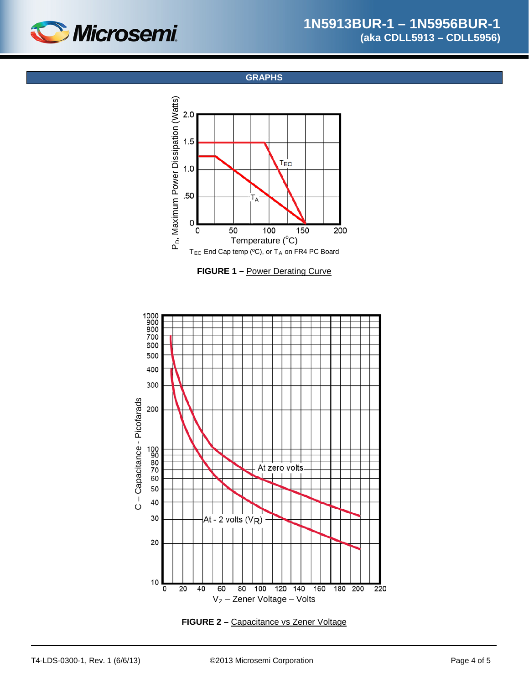<span id="page-3-0"></span>

**GRAPHS**



**FIGURE 1 –** Power Derating Curve



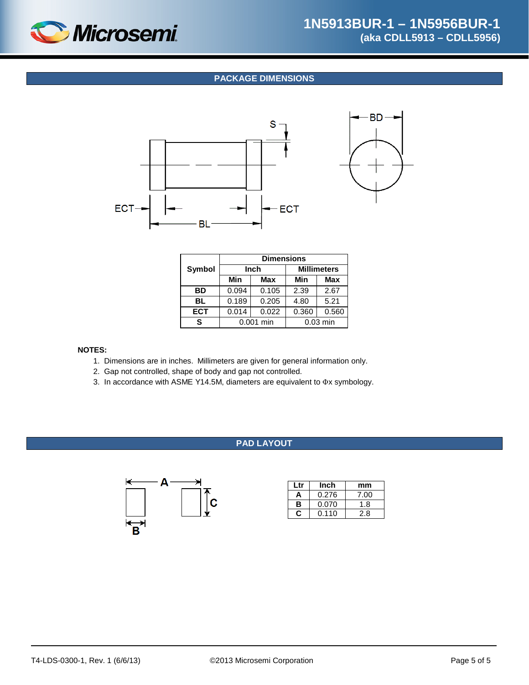<span id="page-4-0"></span>

#### **PACKAGE DIMENSIONS**



|            | <b>Dimensions</b> |            |                    |            |  |
|------------|-------------------|------------|--------------------|------------|--|
| Symbol     | <b>Inch</b>       |            | <b>Millimeters</b> |            |  |
|            | Min               | <b>Max</b> | Min                | <b>Max</b> |  |
| BD         | 0.094             | 0.105      | 2.39               | 2.67       |  |
| BL         | 0.189             | 0.205      | 4.80               | 5.21       |  |
| <b>ECT</b> | 0.014             | 0.022      | 0.360              | 0.560      |  |
| s          | 0.001 min         |            |                    | $0.03$ min |  |

#### **NOTES:**

- 1. Dimensions are in inches. Millimeters are given for general information only.
- 2. Gap not controlled, shape of body and gap not controlled.
- 3. In accordance with ASME Y14.5M, diameters are equivalent to Φx symbology.

### **PAD LAYOUT**



| Ltr        | Inch  | mm   |
|------------|-------|------|
| А          | 0.276 | 7.00 |
| в<br>0.070 |       | 1.8  |
|            | 0.110 | 2.8  |